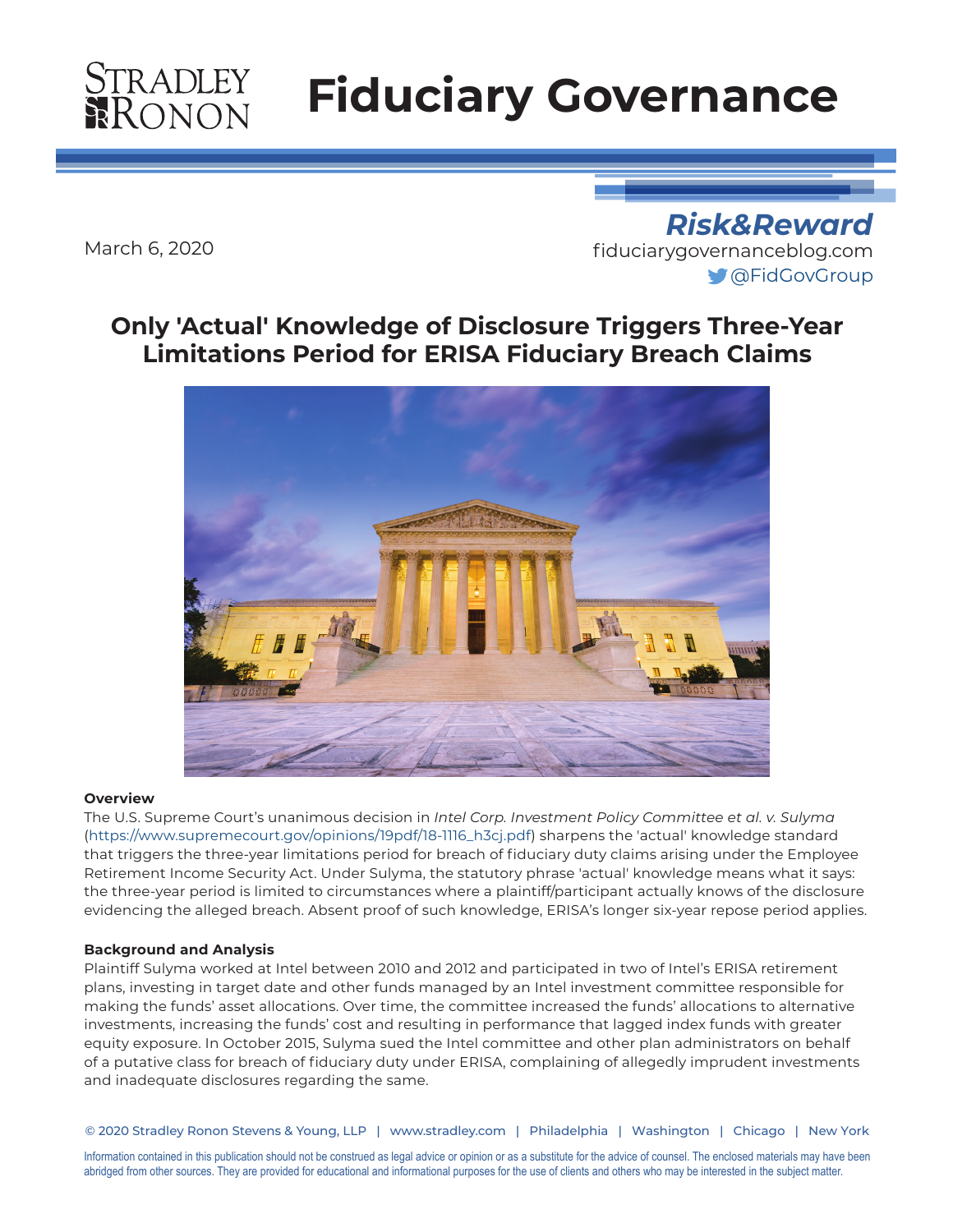# **STRADLEY**<br>RONON

# **Fiduciary Governance**

March 6, 2020

*Risk&Reward* [fiduciarygovernanceblog.com](http://fiduciarygovernanceblog.com) [@FidGovGroup](https://twitter.com/FidGovGroup)

### **Only 'Actual' Knowledge of Disclosure Triggers Three-Year Limitations Period for ERISA Fiduciary Breach Claims**



#### **Overview**

The U.S. Supreme Court's unanimous decision in *Intel Corp. Investment Policy Committee et al. v. Sulyma* ([https://www.supremecourt.gov/opinions/19pdf/18-1116\\_h3cj.pdf](https://www.supremecourt.gov/opinions/19pdf/18-1116_h3cj.pdf)) sharpens the 'actual' knowledge standard that triggers the three-year limitations period for breach of fiduciary duty claims arising under the Employee Retirement Income Security Act. Under Sulyma, the statutory phrase 'actual' knowledge means what it says: the three-year period is limited to circumstances where a plaintiff/participant actually knows of the disclosure evidencing the alleged breach. Absent proof of such knowledge, ERISA's longer six-year repose period applies.

#### **Background and Analysis**

Plaintiff Sulyma worked at Intel between 2010 and 2012 and participated in two of Intel's ERISA retirement plans, investing in target date and other funds managed by an Intel investment committee responsible for making the funds' asset allocations. Over time, the committee increased the funds' allocations to alternative investments, increasing the funds' cost and resulting in performance that lagged index funds with greater equity exposure. In October 2015, Sulyma sued the Intel committee and other plan administrators on behalf of a putative class for breach of fiduciary duty under ERISA, complaining of allegedly imprudent investments and inadequate disclosures regarding the same.

© 2020 Stradley Ronon Stevens & Young, LLP | www.stradley.com | Philadelphia | Washington | Chicago | New York

Information contained in this publication should not be construed as legal advice or opinion or as a substitute for the advice of counsel. The enclosed materials may have been abridged from other sources. They are provided for educational and informational purposes for the use of clients and others who may be interested in the subject matter.